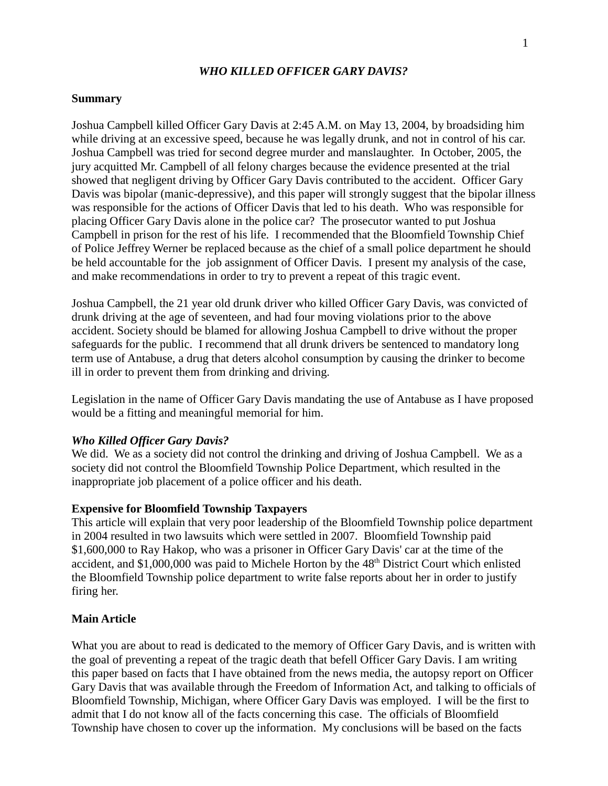### *WHO KILLED OFFICER GARY DAVIS?*

### **Summary**

Joshua Campbell killed Officer Gary Davis at 2:45 A.M. on May 13, 2004, by broadsiding him while driving at an excessive speed, because he was legally drunk, and not in control of his car. Joshua Campbell was tried for second degree murder and manslaughter. In October, 2005, the jury acquitted Mr. Campbell of all felony charges because the evidence presented at the trial showed that negligent driving by Officer Gary Davis contributed to the accident. Officer Gary Davis was bipolar (manic-depressive), and this paper will strongly suggest that the bipolar illness was responsible for the actions of Officer Davis that led to his death. Who was responsible for placing Officer Gary Davis alone in the police car? The prosecutor wanted to put Joshua Campbell in prison for the rest of his life. I recommended that the Bloomfield Township Chief of Police Jeffrey Werner be replaced because as the chief of a small police department he should be held accountable for the job assignment of Officer Davis. I present my analysis of the case, and make recommendations in order to try to prevent a repeat of this tragic event.

Joshua Campbell, the 21 year old drunk driver who killed Officer Gary Davis, was convicted of drunk driving at the age of seventeen, and had four moving violations prior to the above accident. Society should be blamed for allowing Joshua Campbell to drive without the proper safeguards for the public. I recommend that all drunk drivers be sentenced to mandatory long term use of Antabuse, a drug that deters alcohol consumption by causing the drinker to become ill in order to prevent them from drinking and driving.

Legislation in the name of Officer Gary Davis mandating the use of Antabuse as I have proposed would be a fitting and meaningful memorial for him.

### *Who Killed Officer Gary Davis?*

We did. We as a society did not control the drinking and driving of Joshua Campbell. We as a society did not control the Bloomfield Township Police Department, which resulted in the inappropriate job placement of a police officer and his death.

#### **Expensive for Bloomfield Township Taxpayers**

This article will explain that very poor leadership of the Bloomfield Township police department in 2004 resulted in two lawsuits which were settled in 2007. Bloomfield Township paid \$1,600,000 to Ray Hakop, who was a prisoner in Officer Gary Davis' car at the time of the accident, and \$1,000,000 was paid to Michele Horton by the 48<sup>th</sup> District Court which enlisted the Bloomfield Township police department to write false reports about her in order to justify firing her.

#### **Main Article**

What you are about to read is dedicated to the memory of Officer Gary Davis, and is written with the goal of preventing a repeat of the tragic death that befell Officer Gary Davis. I am writing this paper based on facts that I have obtained from the news media, the autopsy report on Officer Gary Davis that was available through the Freedom of Information Act, and talking to officials of Bloomfield Township, Michigan, where Officer Gary Davis was employed. I will be the first to admit that I do not know all of the facts concerning this case. The officials of Bloomfield Township have chosen to cover up the information. My conclusions will be based on the facts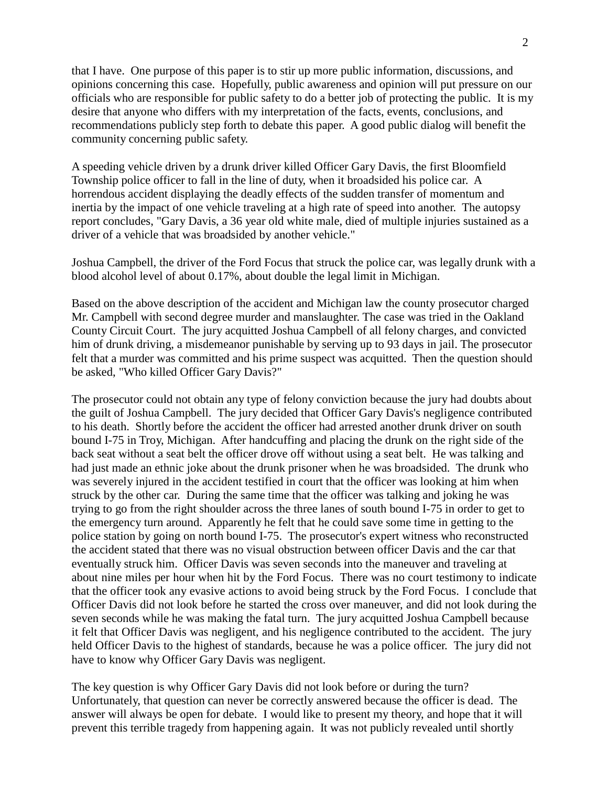that I have. One purpose of this paper is to stir up more public information, discussions, and opinions concerning this case. Hopefully, public awareness and opinion will put pressure on our officials who are responsible for public safety to do a better job of protecting the public. It is my desire that anyone who differs with my interpretation of the facts, events, conclusions, and recommendations publicly step forth to debate this paper. A good public dialog will benefit the community concerning public safety.

A speeding vehicle driven by a drunk driver killed Officer Gary Davis, the first Bloomfield Township police officer to fall in the line of duty, when it broadsided his police car. A horrendous accident displaying the deadly effects of the sudden transfer of momentum and inertia by the impact of one vehicle traveling at a high rate of speed into another. The autopsy report concludes, "Gary Davis, a 36 year old white male, died of multiple injuries sustained as a driver of a vehicle that was broadsided by another vehicle."

Joshua Campbell, the driver of the Ford Focus that struck the police car, was legally drunk with a blood alcohol level of about 0.17%, about double the legal limit in Michigan.

Based on the above description of the accident and Michigan law the county prosecutor charged Mr. Campbell with second degree murder and manslaughter. The case was tried in the Oakland County Circuit Court. The jury acquitted Joshua Campbell of all felony charges, and convicted him of drunk driving, a misdemeanor punishable by serving up to 93 days in jail. The prosecutor felt that a murder was committed and his prime suspect was acquitted. Then the question should be asked, "Who killed Officer Gary Davis?"

The prosecutor could not obtain any type of felony conviction because the jury had doubts about the guilt of Joshua Campbell. The jury decided that Officer Gary Davis's negligence contributed to his death. Shortly before the accident the officer had arrested another drunk driver on south bound I-75 in Troy, Michigan. After handcuffing and placing the drunk on the right side of the back seat without a seat belt the officer drove off without using a seat belt. He was talking and had just made an ethnic joke about the drunk prisoner when he was broadsided. The drunk who was severely injured in the accident testified in court that the officer was looking at him when struck by the other car. During the same time that the officer was talking and joking he was trying to go from the right shoulder across the three lanes of south bound I-75 in order to get to the emergency turn around. Apparently he felt that he could save some time in getting to the police station by going on north bound I-75. The prosecutor's expert witness who reconstructed the accident stated that there was no visual obstruction between officer Davis and the car that eventually struck him. Officer Davis was seven seconds into the maneuver and traveling at about nine miles per hour when hit by the Ford Focus. There was no court testimony to indicate that the officer took any evasive actions to avoid being struck by the Ford Focus. I conclude that Officer Davis did not look before he started the cross over maneuver, and did not look during the seven seconds while he was making the fatal turn. The jury acquitted Joshua Campbell because it felt that Officer Davis was negligent, and his negligence contributed to the accident. The jury held Officer Davis to the highest of standards, because he was a police officer. The jury did not have to know why Officer Gary Davis was negligent.

The key question is why Officer Gary Davis did not look before or during the turn? Unfortunately, that question can never be correctly answered because the officer is dead. The answer will always be open for debate. I would like to present my theory, and hope that it will prevent this terrible tragedy from happening again. It was not publicly revealed until shortly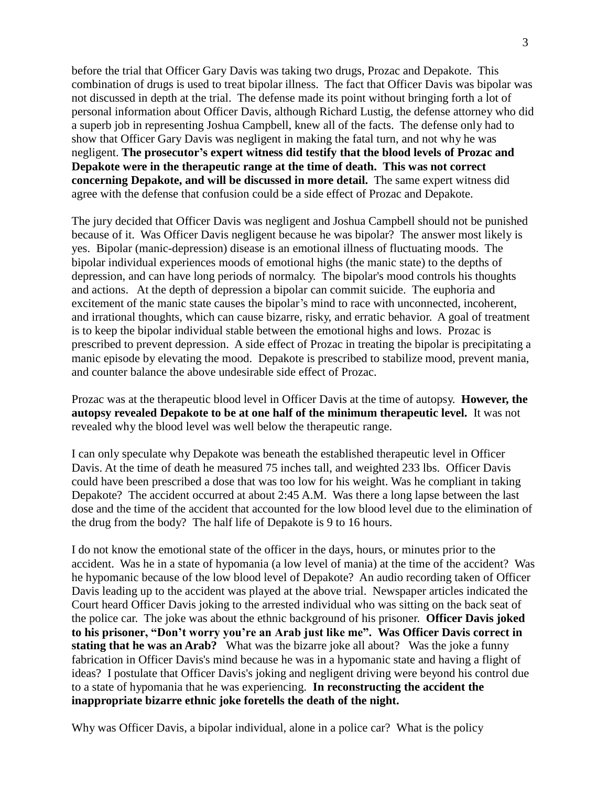before the trial that Officer Gary Davis was taking two drugs, Prozac and Depakote. This combination of drugs is used to treat bipolar illness. The fact that Officer Davis was bipolar was not discussed in depth at the trial. The defense made its point without bringing forth a lot of personal information about Officer Davis, although Richard Lustig, the defense attorney who did a superb job in representing Joshua Campbell, knew all of the facts. The defense only had to show that Officer Gary Davis was negligent in making the fatal turn, and not why he was negligent. **The prosecutor's expert witness did testify that the blood levels of Prozac and Depakote were in the therapeutic range at the time of death. This was not correct concerning Depakote, and will be discussed in more detail.** The same expert witness did agree with the defense that confusion could be a side effect of Prozac and Depakote.

The jury decided that Officer Davis was negligent and Joshua Campbell should not be punished because of it. Was Officer Davis negligent because he was bipolar? The answer most likely is yes. Bipolar (manic-depression) disease is an emotional illness of fluctuating moods. The bipolar individual experiences moods of emotional highs (the manic state) to the depths of depression, and can have long periods of normalcy. The bipolar's mood controls his thoughts and actions. At the depth of depression a bipolar can commit suicide. The euphoria and excitement of the manic state causes the bipolar's mind to race with unconnected, incoherent, and irrational thoughts, which can cause bizarre, risky, and erratic behavior. A goal of treatment is to keep the bipolar individual stable between the emotional highs and lows. Prozac is prescribed to prevent depression. A side effect of Prozac in treating the bipolar is precipitating a manic episode by elevating the mood. Depakote is prescribed to stabilize mood, prevent mania, and counter balance the above undesirable side effect of Prozac.

Prozac was at the therapeutic blood level in Officer Davis at the time of autopsy. **However, the autopsy revealed Depakote to be at one half of the minimum therapeutic level.** It was not revealed why the blood level was well below the therapeutic range.

I can only speculate why Depakote was beneath the established therapeutic level in Officer Davis. At the time of death he measured 75 inches tall, and weighted 233 lbs. Officer Davis could have been prescribed a dose that was too low for his weight. Was he compliant in taking Depakote? The accident occurred at about 2:45 A.M. Was there a long lapse between the last dose and the time of the accident that accounted for the low blood level due to the elimination of the drug from the body? The half life of Depakote is 9 to 16 hours.

I do not know the emotional state of the officer in the days, hours, or minutes prior to the accident. Was he in a state of hypomania (a low level of mania) at the time of the accident? Was he hypomanic because of the low blood level of Depakote? An audio recording taken of Officer Davis leading up to the accident was played at the above trial. Newspaper articles indicated the Court heard Officer Davis joking to the arrested individual who was sitting on the back seat of the police car. The joke was about the ethnic background of his prisoner. **Officer Davis joked to his prisoner, "Don't worry you're an Arab just like me". Was Officer Davis correct in stating that he was an Arab?** What was the bizarre joke all about? Was the joke a funny fabrication in Officer Davis's mind because he was in a hypomanic state and having a flight of ideas? I postulate that Officer Davis's joking and negligent driving were beyond his control due to a state of hypomania that he was experiencing. **In reconstructing the accident the inappropriate bizarre ethnic joke foretells the death of the night.**

Why was Officer Davis, a bipolar individual, alone in a police car? What is the policy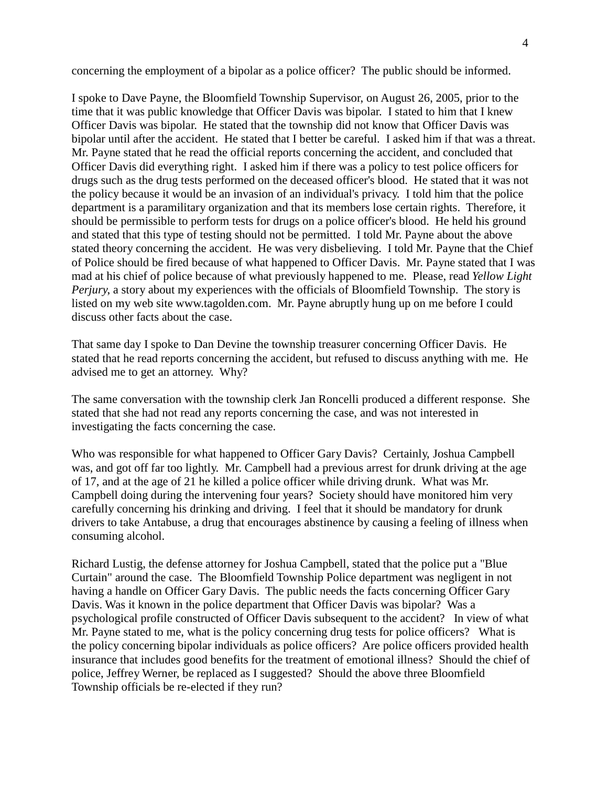concerning the employment of a bipolar as a police officer? The public should be informed.

I spoke to Dave Payne, the Bloomfield Township Supervisor, on August 26, 2005, prior to the time that it was public knowledge that Officer Davis was bipolar. I stated to him that I knew Officer Davis was bipolar. He stated that the township did not know that Officer Davis was bipolar until after the accident. He stated that I better be careful. I asked him if that was a threat. Mr. Payne stated that he read the official reports concerning the accident, and concluded that Officer Davis did everything right. I asked him if there was a policy to test police officers for drugs such as the drug tests performed on the deceased officer's blood. He stated that it was not the policy because it would be an invasion of an individual's privacy. I told him that the police department is a paramilitary organization and that its members lose certain rights. Therefore, it should be permissible to perform tests for drugs on a police officer's blood. He held his ground and stated that this type of testing should not be permitted. I told Mr. Payne about the above stated theory concerning the accident. He was very disbelieving. I told Mr. Payne that the Chief of Police should be fired because of what happened to Officer Davis. Mr. Payne stated that I was mad at his chief of police because of what previously happened to me. Please, read *Yellow Light Perjury*, a story about my experiences with the officials of Bloomfield Township. The story is listed on my web si[te www.tagolden.com.](http://www.tagolden.com/) Mr. Payne abruptly hung up on me before I could discuss other facts about the case.

That same day I spoke to Dan Devine the township treasurer concerning Officer Davis. He stated that he read reports concerning the accident, but refused to discuss anything with me. He advised me to get an attorney. Why?

The same conversation with the township clerk Jan Roncelli produced a different response. She stated that she had not read any reports concerning the case, and was not interested in investigating the facts concerning the case.

Who was responsible for what happened to Officer Gary Davis? Certainly, Joshua Campbell was, and got off far too lightly. Mr. Campbell had a previous arrest for drunk driving at the age of 17, and at the age of 21 he killed a police officer while driving drunk. What was Mr. Campbell doing during the intervening four years? Society should have monitored him very carefully concerning his drinking and driving. I feel that it should be mandatory for drunk drivers to take Antabuse, a drug that encourages abstinence by causing a feeling of illness when consuming alcohol.

Richard Lustig, the defense attorney for Joshua Campbell, stated that the police put a "Blue Curtain" around the case. The Bloomfield Township Police department was negligent in not having a handle on Officer Gary Davis. The public needs the facts concerning Officer Gary Davis. Was it known in the police department that Officer Davis was bipolar? Was a psychological profile constructed of Officer Davis subsequent to the accident? In view of what Mr. Payne stated to me, what is the policy concerning drug tests for police officers? What is the policy concerning bipolar individuals as police officers? Are police officers provided health insurance that includes good benefits for the treatment of emotional illness? Should the chief of police, Jeffrey Werner, be replaced as I suggested? Should the above three Bloomfield Township officials be re-elected if they run?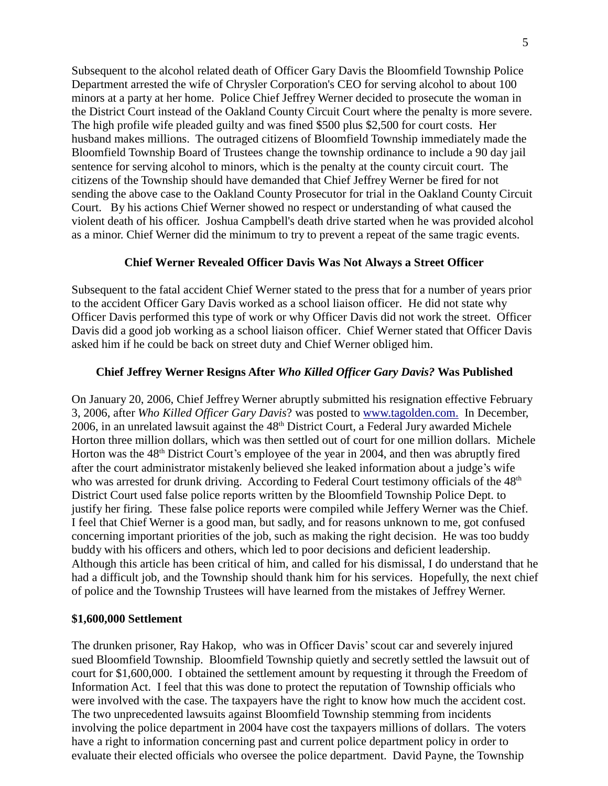Subsequent to the alcohol related death of Officer Gary Davis the Bloomfield Township Police Department arrested the wife of Chrysler Corporation's CEO for serving alcohol to about 100 minors at a party at her home. Police Chief Jeffrey Werner decided to prosecute the woman in the District Court instead of the Oakland County Circuit Court where the penalty is more severe. The high profile wife pleaded guilty and was fined \$500 plus \$2,500 for court costs. Her husband makes millions. The outraged citizens of Bloomfield Township immediately made the Bloomfield Township Board of Trustees change the township ordinance to include a 90 day jail sentence for serving alcohol to minors, which is the penalty at the county circuit court. The citizens of the Township should have demanded that Chief Jeffrey Werner be fired for not sending the above case to the Oakland County Prosecutor for trial in the Oakland County Circuit Court. By his actions Chief Werner showed no respect or understanding of what caused the violent death of his officer. Joshua Campbell's death drive started when he was provided alcohol as a minor. Chief Werner did the minimum to try to prevent a repeat of the same tragic events.

# **Chief Werner Revealed Officer Davis Was Not Always a Street Officer**

Subsequent to the fatal accident Chief Werner stated to the press that for a number of years prior to the accident Officer Gary Davis worked as a school liaison officer. He did not state why Officer Davis performed this type of work or why Officer Davis did not work the street. Officer Davis did a good job working as a school liaison officer. Chief Werner stated that Officer Davis asked him if he could be back on street duty and Chief Werner obliged him.

# **Chief Jeffrey Werner Resigns After** *Who Killed Officer Gary Davis?* **Was Published**

On January 20, 2006, Chief Jeffrey Werner abruptly submitted his resignation effective February 3, 2006, after *Who Killed Officer Gary Davis*? was posted to [www.tagolden.com.](http://www.tagolden.com/) In December, 2006, in an unrelated lawsuit against the 48<sup>th</sup> District Court, a Federal Jury awarded Michele Horton three million dollars, which was then settled out of court for one million dollars. Michele Horton was the 48<sup>th</sup> District Court's employee of the year in 2004, and then was abruptly fired after the court administrator mistakenly believed she leaked information about a judge's wife who was arrested for drunk driving. According to Federal Court testimony officials of the 48<sup>th</sup> District Court used false police reports written by the Bloomfield Township Police Dept. to justify her firing. These false police reports were compiled while Jeffery Werner was the Chief. I feel that Chief Werner is a good man, but sadly, and for reasons unknown to me, got confused concerning important priorities of the job, such as making the right decision. He was too buddy buddy with his officers and others, which led to poor decisions and deficient leadership. Although this article has been critical of him, and called for his dismissal, I do understand that he had a difficult job, and the Township should thank him for his services. Hopefully, the next chief of police and the Township Trustees will have learned from the mistakes of Jeffrey Werner.

# **\$1,600,000 Settlement**

The drunken prisoner, Ray Hakop, who was in Officer Davis'scout car and severely injured sued Bloomfield Township. Bloomfield Township quietly and secretly settled the lawsuit out of court for \$1,600,000. I obtained the settlement amount by requesting it through the Freedom of Information Act. I feel that this was done to protect the reputation of Township officials who were involved with the case. The taxpayers have the right to know how much the accident cost. The two unprecedented lawsuits against Bloomfield Township stemming from incidents involving the police department in 2004 have cost the taxpayers millions of dollars. The voters have a right to information concerning past and current police department policy in order to evaluate their elected officials who oversee the police department. David Payne, the Township